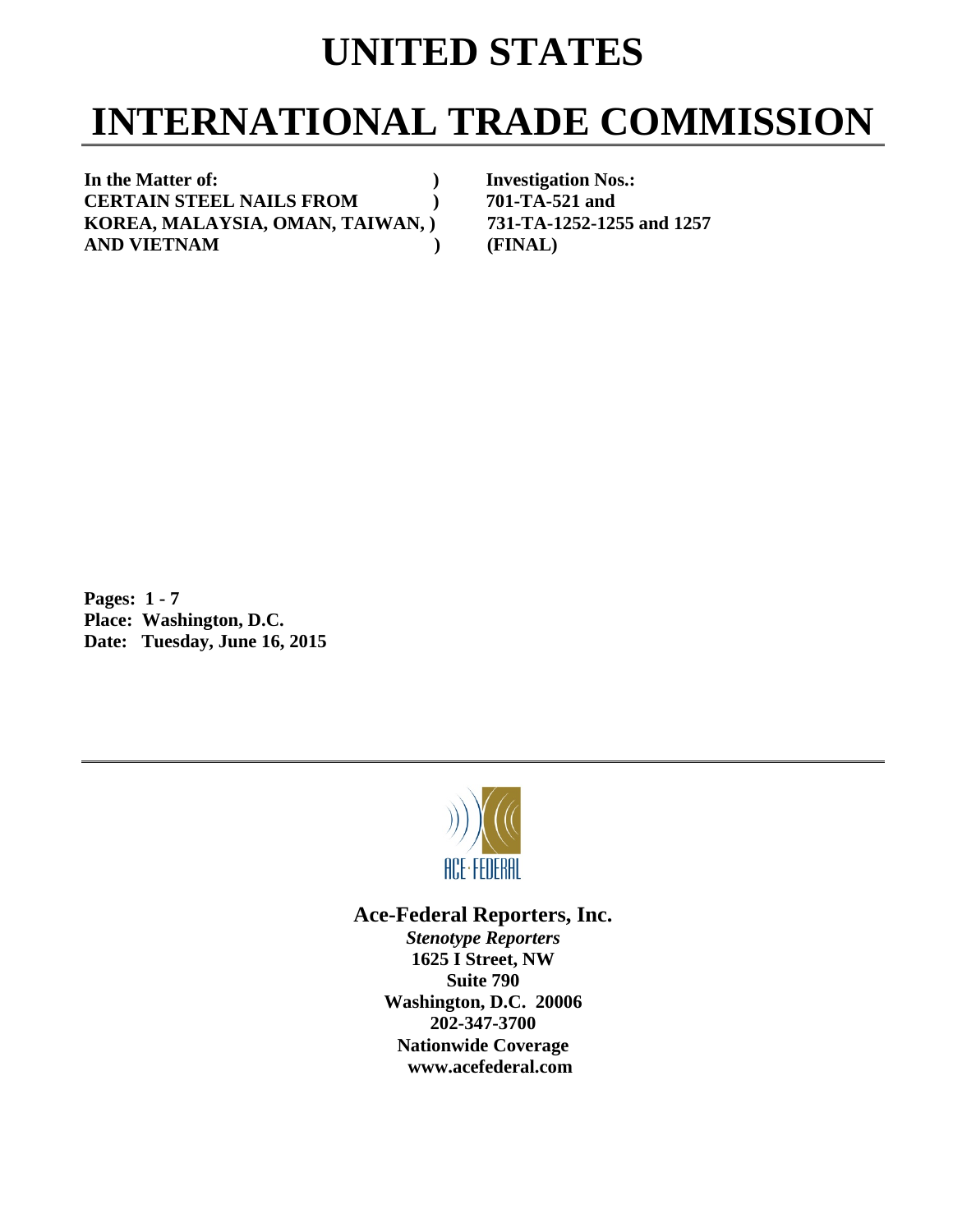## **UNITED STATES**

# **INTERNATIONAL TRADE COMMISSION**

In the Matter of: *In the Matter of: PHONOS.: PHONOS.: PHONOS.:* **CERTAIN STEEL NAILS FROM**  $701-TA-521$  and<br>**KOREA. MALAYSIA, OMAN, TAIWAN,**  $731-TA-1252-1255$  and 1257 **KOREA, MALAYSIA, OMAN, TAIWAN, ) AND VIETNAM ) (FINAL)** 

**Pages: 1 - 7 Place: Washington, D.C. Date: Tuesday, June 16, 2015** 



## **Ace-Federal Reporters, Inc.**

*Stenotype Reporters*  **1625 I Street, NW Suite 790 Washington, D.C. 20006 202-347-3700 Nationwide Coverage www.acefederal.com**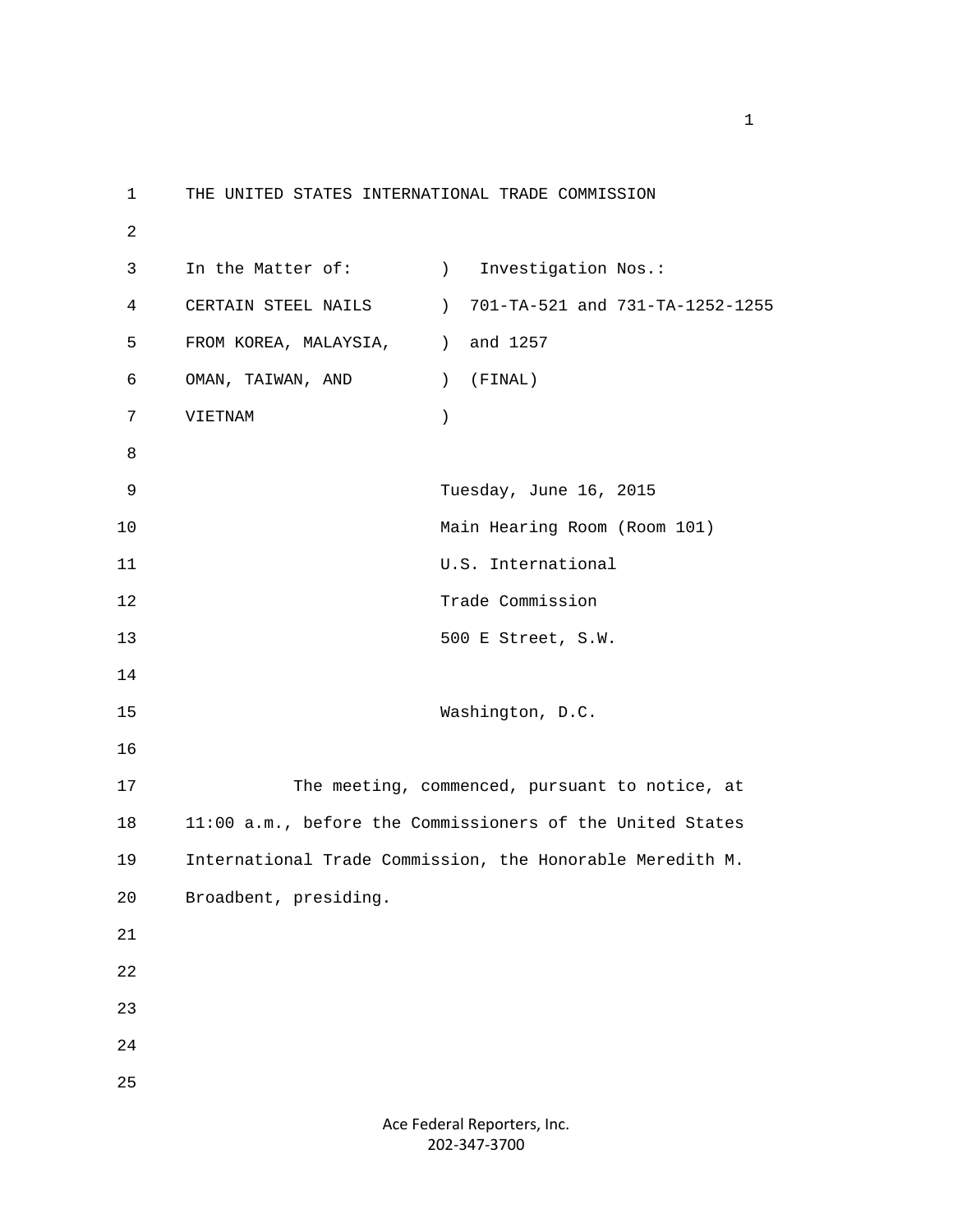1 THE UNITED STATES INTERNATIONAL TRADE COMMISSION 2 3 In the Matter of: (a) Investigation Nos.: 4 CERTAIN STEEL NAILS ) 701-TA-521 and 731-TA-1252-1255 5 FROM KOREA, MALAYSIA,  $\qquad$  ) and 1257 6 OMAN, TAIWAN, AND ) (FINAL) 7 VIETNAM ) 8 9 Tuesday, June 16, 2015 10 Main Hearing Room (Room 101) 11 U.S. International 12 Trade Commission 13 500 E Street, S.W. 14 15 Washington, D.C. 16 17 The meeting, commenced, pursuant to notice, at 18 11:00 a.m., before the Commissioners of the United States 19 International Trade Commission, the Honorable Meredith M. 20 Broadbent, presiding. 21 22 23 24 25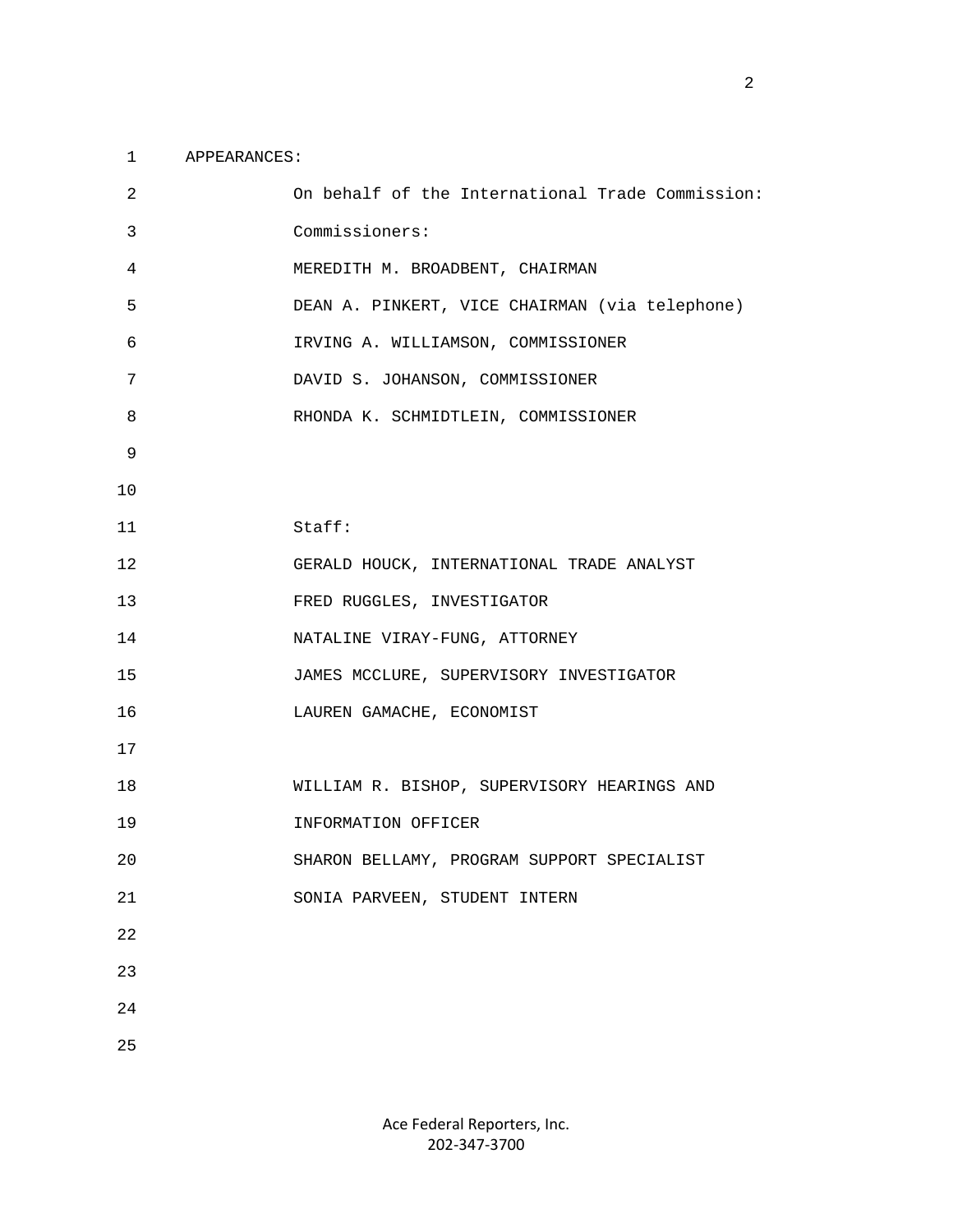### 1 APPEARANCES:

| 2           | On behalf of the International Trade Commission: |
|-------------|--------------------------------------------------|
| 3           | Commissioners:                                   |
| 4           | MEREDITH M. BROADBENT, CHAIRMAN                  |
| 5           | DEAN A. PINKERT, VICE CHAIRMAN (via telephone)   |
| 6           | IRVING A. WILLIAMSON, COMMISSIONER               |
| 7           | DAVID S. JOHANSON, COMMISSIONER                  |
| 8           | RHONDA K. SCHMIDTLEIN, COMMISSIONER              |
| 9           |                                                  |
| 10          |                                                  |
| 11          | Stat:                                            |
| 12          | GERALD HOUCK, INTERNATIONAL TRADE ANALYST        |
| 13          | FRED RUGGLES, INVESTIGATOR                       |
| 14          | NATALINE VIRAY-FUNG, ATTORNEY                    |
| 15          | JAMES MCCLURE, SUPERVISORY INVESTIGATOR          |
| 16          | LAUREN GAMACHE, ECONOMIST                        |
| 17          |                                                  |
| 18          | WILLIAM R. BISHOP, SUPERVISORY HEARINGS AND      |
| 19          | INFORMATION OFFICER                              |
| 20          | SHARON BELLAMY, PROGRAM SUPPORT SPECIALIST       |
| $2\sqrt{1}$ | SONIA PARVEEN, STUDENT INTERN                    |
| 22          |                                                  |
| 23          |                                                  |
| 24          |                                                  |
| 25          |                                                  |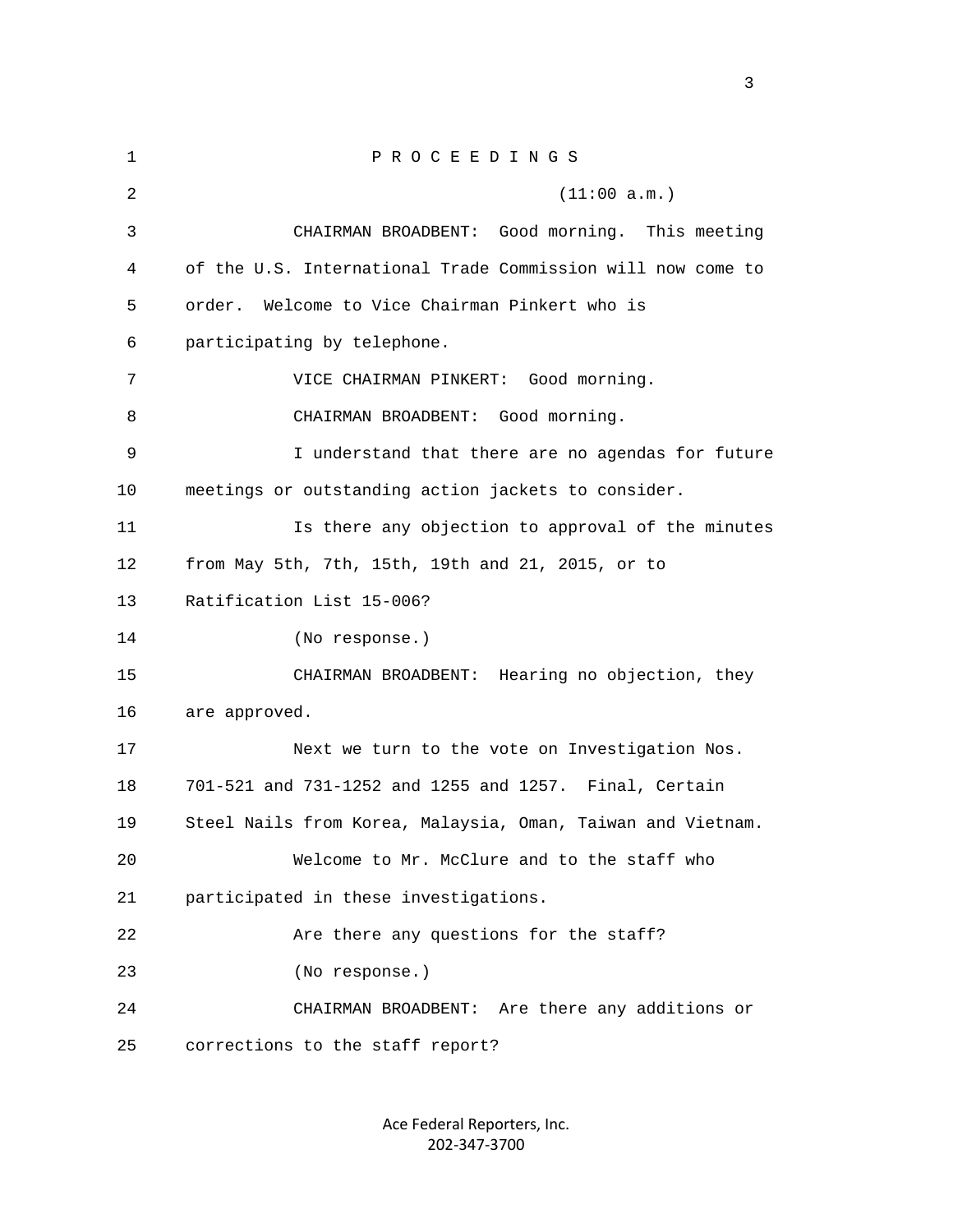1 P R O C E E D I N G S 2 (11:00 a.m.) 3 CHAIRMAN BROADBENT: Good morning. This meeting 4 of the U.S. International Trade Commission will now come to 5 order. Welcome to Vice Chairman Pinkert who is 6 participating by telephone. 7 VICE CHAIRMAN PINKERT: Good morning. 8 CHAIRMAN BROADBENT: Good morning. 9 I understand that there are no agendas for future 10 meetings or outstanding action jackets to consider. 11 Is there any objection to approval of the minutes 12 from May 5th, 7th, 15th, 19th and 21, 2015, or to 13 Ratification List 15-006? 14 (No response.) 15 CHAIRMAN BROADBENT: Hearing no objection, they 16 are approved. 17 Next we turn to the vote on Investigation Nos. 18 701-521 and 731-1252 and 1255 and 1257. Final, Certain 19 Steel Nails from Korea, Malaysia, Oman, Taiwan and Vietnam. 20 Welcome to Mr. McClure and to the staff who 21 participated in these investigations. 22 Are there any questions for the staff? 23 (No response.) 24 CHAIRMAN BROADBENT: Are there any additions or 25 corrections to the staff report?

> Ace Federal Reporters, Inc. 202‐347‐3700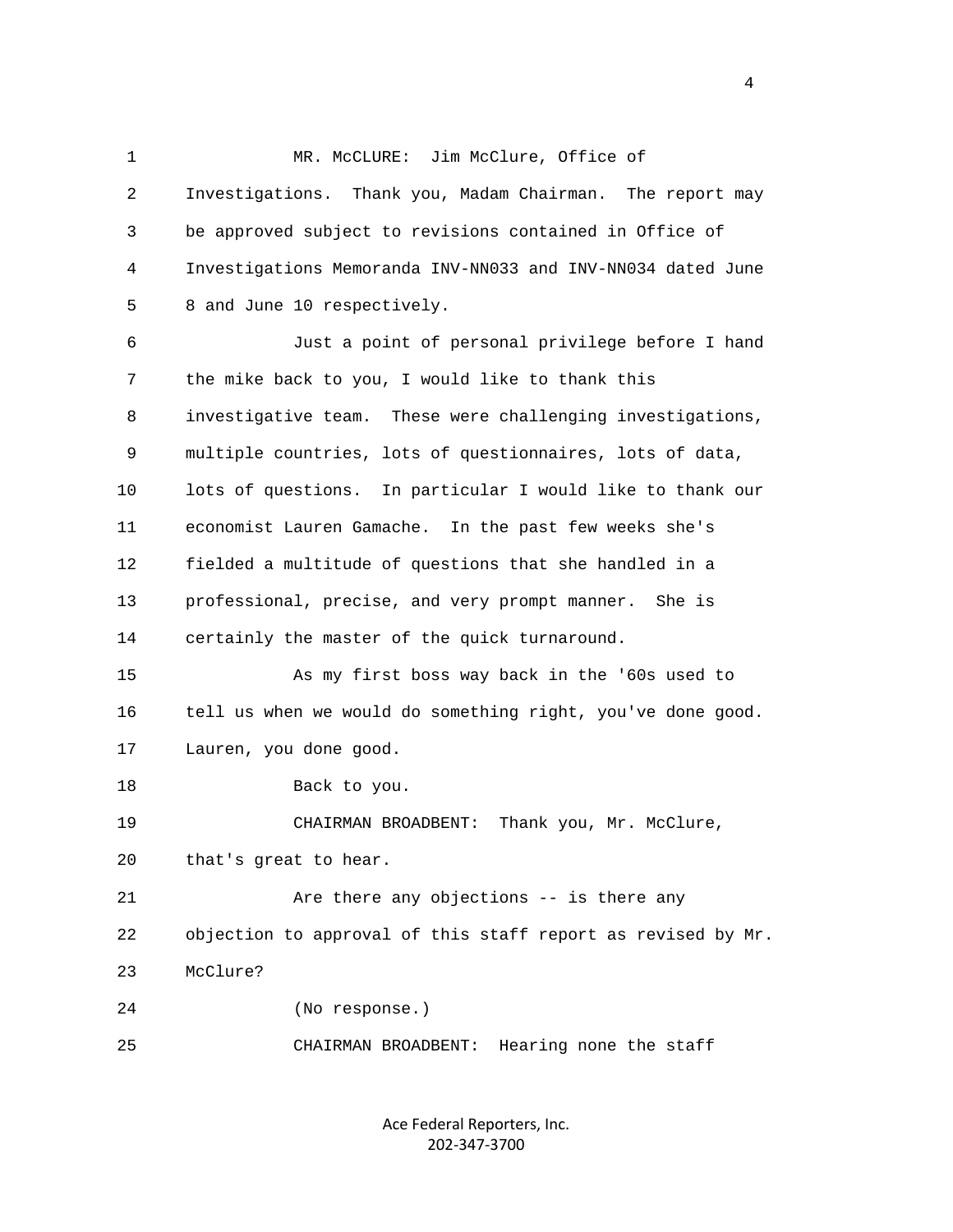1 MR. McCLURE: Jim McClure, Office of 2 Investigations. Thank you, Madam Chairman. The report may 3 be approved subject to revisions contained in Office of 4 Investigations Memoranda INV-NN033 and INV-NN034 dated June 5 8 and June 10 respectively. 6 Just a point of personal privilege before I hand 7 the mike back to you, I would like to thank this 8 investigative team. These were challenging investigations, 9 multiple countries, lots of questionnaires, lots of data, 10 lots of questions. In particular I would like to thank our 11 economist Lauren Gamache. In the past few weeks she's 12 fielded a multitude of questions that she handled in a 13 professional, precise, and very prompt manner. She is 14 certainly the master of the quick turnaround. 15 As my first boss way back in the '60s used to 16 tell us when we would do something right, you've done good. 17 Lauren, you done good. 18 Back to you. 19 CHAIRMAN BROADBENT: Thank you, Mr. McClure, 20 that's great to hear. 21 Are there any objections -- is there any 22 objection to approval of this staff report as revised by Mr. 23 McClure? 24 (No response.)

25 CHAIRMAN BROADBENT: Hearing none the staff

Ace Federal Reporters, Inc. 202‐347‐3700

4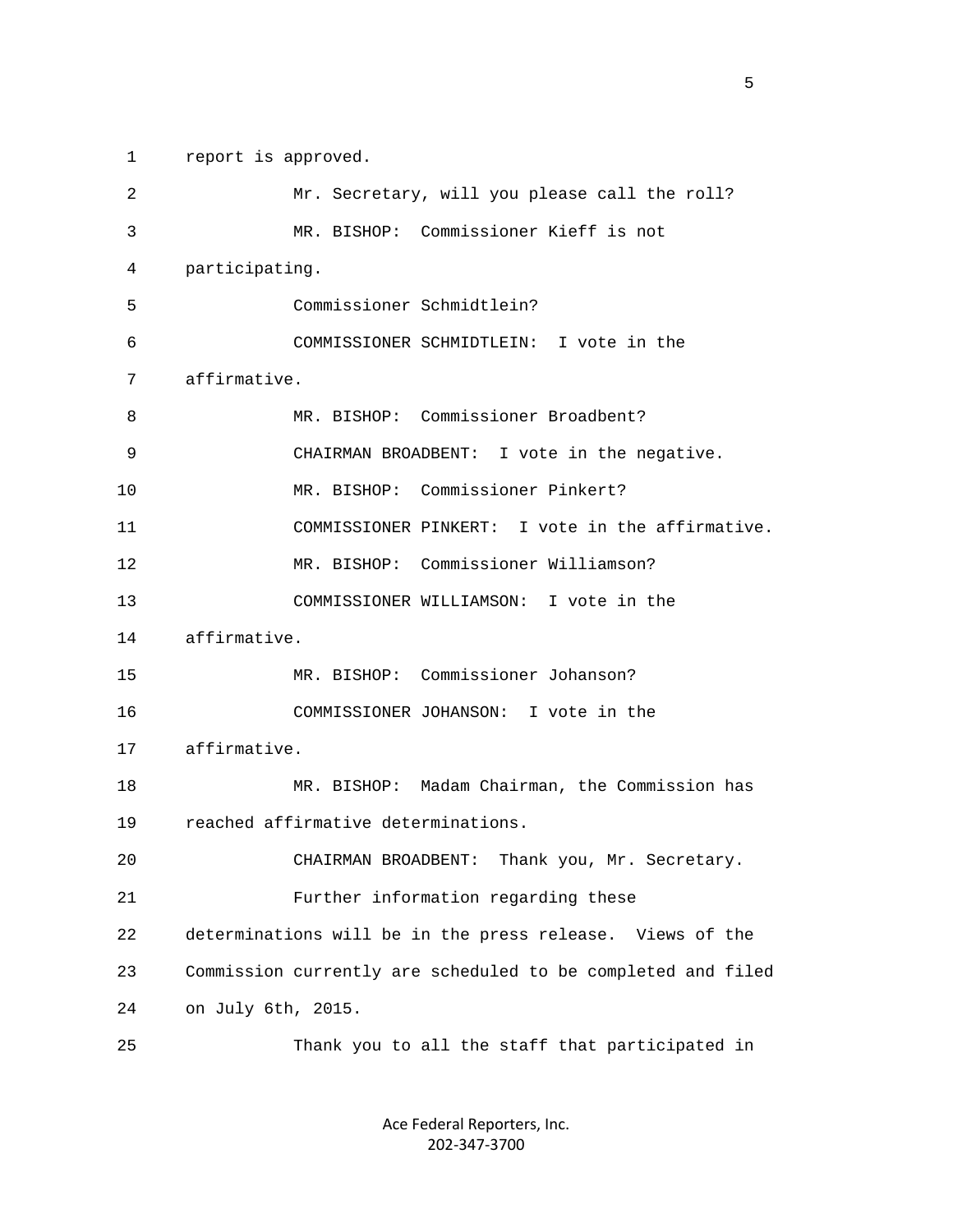1 report is approved.

| $\overline{2}$ | Mr. Secretary, will you please call the roll?                |
|----------------|--------------------------------------------------------------|
| 3              | MR. BISHOP: Commissioner Kieff is not                        |
| 4              | participating.                                               |
| 5              | Commissioner Schmidtlein?                                    |
| 6              | COMMISSIONER SCHMIDTLEIN: I vote in the                      |
| 7              | affirmative.                                                 |
| 8              | MR. BISHOP: Commissioner Broadbent?                          |
| 9              | CHAIRMAN BROADBENT: I vote in the negative.                  |
| 10             | MR. BISHOP: Commissioner Pinkert?                            |
| 11             | COMMISSIONER PINKERT: I vote in the affirmative.             |
| 12             | MR. BISHOP: Commissioner Williamson?                         |
| 13             | COMMISSIONER WILLIAMSON: I vote in the                       |
| 14             | affirmative.                                                 |
| 15             | MR. BISHOP: Commissioner Johanson?                           |
| 16             | COMMISSIONER JOHANSON: I vote in the                         |
| 17             | affirmative.                                                 |
| 18             | MR. BISHOP: Madam Chairman, the Commission has               |
| 19             | reached affirmative determinations.                          |
| 20             | CHAIRMAN BROADBENT:<br>Thank you, Mr. Secretary.             |
| 21             | Further information regarding these                          |
| 22             | determinations will be in the press release. Views of the    |
| 23             | Commission currently are scheduled to be completed and filed |
| 24             | on July 6th, 2015.                                           |
| 25             | Thank you to all the staff that participated in              |

Ace Federal Reporters, Inc. 202‐347‐3700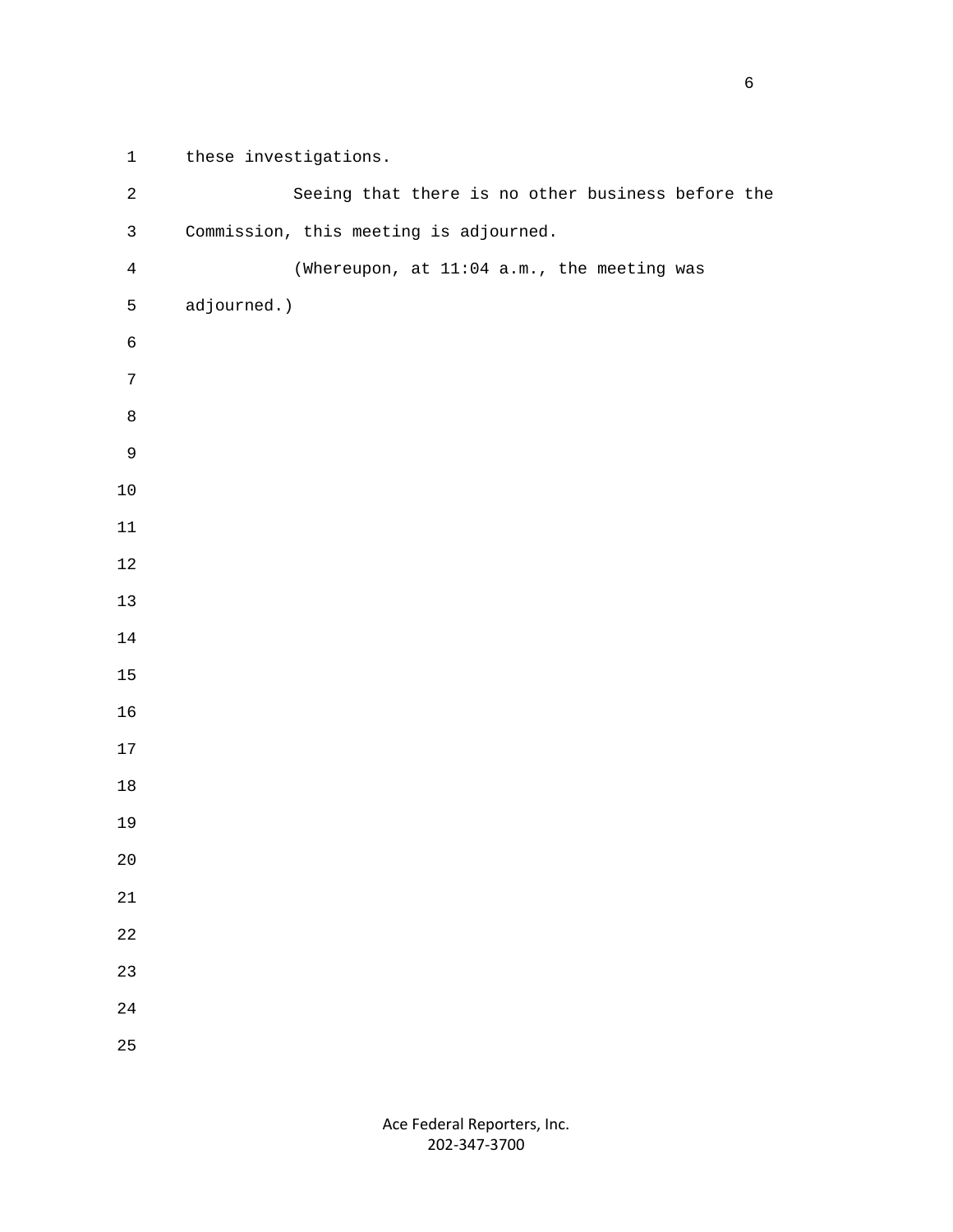1 these investigations. 2 Seeing that there is no other business before the 3 Commission, this meeting is adjourned. 4 (Whereupon, at 11:04 a.m., the meeting was 5 adjourned.)